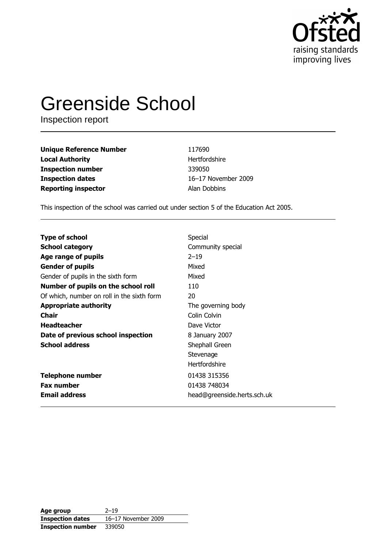

# **Greenside School**

Inspection report

| <b>Unique Reference Number</b> | 117690        |
|--------------------------------|---------------|
| <b>Local Authority</b>         | Hertfordshire |
| <b>Inspection number</b>       | 339050        |
| <b>Inspection dates</b>        | 16-17 Novem   |
| <b>Reporting inspector</b>     | Alan Dobbins  |

vember 2009 bins

This inspection of the school was carried out under section 5 of the Education Act 2005.

| <b>Type of school</b>                      | Special                     |
|--------------------------------------------|-----------------------------|
| <b>School category</b>                     | Community special           |
| Age range of pupils                        | $2 - 19$                    |
| <b>Gender of pupils</b>                    | Mixed                       |
| Gender of pupils in the sixth form         | Mixed                       |
| Number of pupils on the school roll        | 110                         |
| Of which, number on roll in the sixth form | 20                          |
| <b>Appropriate authority</b>               | The governing body          |
| <b>Chair</b>                               | Colin Colvin                |
| <b>Headteacher</b>                         | Dave Victor                 |
| Date of previous school inspection         | 8 January 2007              |
| <b>School address</b>                      | Shephall Green              |
|                                            | Stevenage                   |
|                                            | Hertfordshire               |
| <b>Telephone number</b>                    | 01438 315356                |
| <b>Fax number</b>                          | 01438 748034                |
| <b>Email address</b>                       | head@greenside.herts.sch.uk |

| Age group                | $2 - 19$            |
|--------------------------|---------------------|
| <b>Inspection dates</b>  | 16-17 November 2009 |
| <b>Inspection number</b> | 339050              |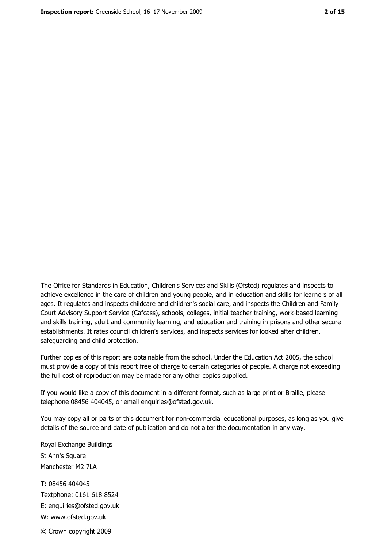The Office for Standards in Education, Children's Services and Skills (Ofsted) regulates and inspects to achieve excellence in the care of children and young people, and in education and skills for learners of all ages. It regulates and inspects childcare and children's social care, and inspects the Children and Family Court Advisory Support Service (Cafcass), schools, colleges, initial teacher training, work-based learning and skills training, adult and community learning, and education and training in prisons and other secure establishments. It rates council children's services, and inspects services for looked after children, safeguarding and child protection.

Further copies of this report are obtainable from the school. Under the Education Act 2005, the school must provide a copy of this report free of charge to certain categories of people. A charge not exceeding the full cost of reproduction may be made for any other copies supplied.

If you would like a copy of this document in a different format, such as large print or Braille, please telephone 08456 404045, or email enquiries@ofsted.gov.uk.

You may copy all or parts of this document for non-commercial educational purposes, as long as you give details of the source and date of publication and do not alter the documentation in any way.

Royal Exchange Buildings St Ann's Square Manchester M2 7LA T: 08456 404045 Textphone: 0161 618 8524 E: enquiries@ofsted.gov.uk W: www.ofsted.gov.uk © Crown copyright 2009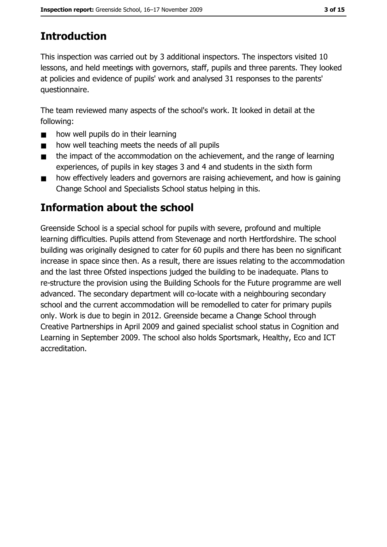# **Introduction**

This inspection was carried out by 3 additional inspectors. The inspectors visited 10 lessons, and held meetings with governors, staff, pupils and three parents. They looked at policies and evidence of pupils' work and analysed 31 responses to the parents' questionnaire.

The team reviewed many aspects of the school's work. It looked in detail at the following:

- how well pupils do in their learning  $\blacksquare$
- how well teaching meets the needs of all pupils  $\blacksquare$
- the impact of the accommodation on the achievement, and the range of learning  $\blacksquare$ experiences, of pupils in key stages 3 and 4 and students in the sixth form
- how effectively leaders and governors are raising achievement, and how is gaining  $\blacksquare$ Change School and Specialists School status helping in this.

## Information about the school

Greenside School is a special school for pupils with severe, profound and multiple learning difficulties. Pupils attend from Stevenage and north Hertfordshire. The school building was originally designed to cater for 60 pupils and there has been no significant increase in space since then. As a result, there are issues relating to the accommodation and the last three Ofsted inspections judged the building to be inadequate. Plans to re-structure the provision using the Building Schools for the Future programme are well advanced. The secondary department will co-locate with a neighbouring secondary school and the current accommodation will be remodelled to cater for primary pupils only. Work is due to begin in 2012. Greenside became a Change School through Creative Partnerships in April 2009 and gained specialist school status in Cognition and Learning in September 2009. The school also holds Sportsmark, Healthy, Eco and ICT accreditation.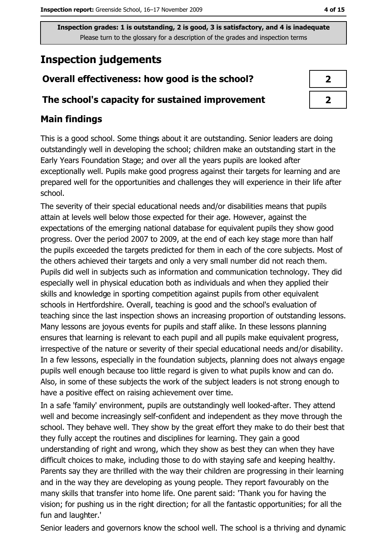# **Inspection judgements**

## Overall effectiveness: how good is the school?

#### The school's capacity for sustained improvement

## **Main findings**

This is a good school. Some things about it are outstanding. Senior leaders are doing outstandingly well in developing the school; children make an outstanding start in the Early Years Foundation Stage; and over all the years pupils are looked after exceptionally well. Pupils make good progress against their targets for learning and are prepared well for the opportunities and challenges they will experience in their life after school.

The severity of their special educational needs and/or disabilities means that pupils attain at levels well below those expected for their age. However, against the expectations of the emerging national database for equivalent pupils they show good progress. Over the period 2007 to 2009, at the end of each key stage more than half the pupils exceeded the targets predicted for them in each of the core subjects. Most of the others achieved their targets and only a very small number did not reach them. Pupils did well in subjects such as information and communication technology. They did especially well in physical education both as individuals and when they applied their skills and knowledge in sporting competition against pupils from other equivalent schools in Hertfordshire. Overall, teaching is good and the school's evaluation of teaching since the last inspection shows an increasing proportion of outstanding lessons. Many lessons are joyous events for pupils and staff alike. In these lessons planning ensures that learning is relevant to each pupil and all pupils make equivalent progress, irrespective of the nature or severity of their special educational needs and/or disability. In a few lessons, especially in the foundation subjects, planning does not always engage pupils well enough because too little regard is given to what pupils know and can do. Also, in some of these subjects the work of the subject leaders is not strong enough to have a positive effect on raising achievement over time.

In a safe 'family' environment, pupils are outstandingly well looked-after. They attend well and become increasingly self-confident and independent as they move through the school. They behave well. They show by the great effort they make to do their best that they fully accept the routines and disciplines for learning. They gain a good understanding of right and wrong, which they show as best they can when they have difficult choices to make, including those to do with staying safe and keeping healthy. Parents say they are thrilled with the way their children are progressing in their learning and in the way they are developing as young people. They report favourably on the many skills that transfer into home life. One parent said: 'Thank you for having the vision; for pushing us in the right direction; for all the fantastic opportunities; for all the fun and laughter.'

Senior leaders and governors know the school well. The school is a thriving and dynamic

| 7 |
|---|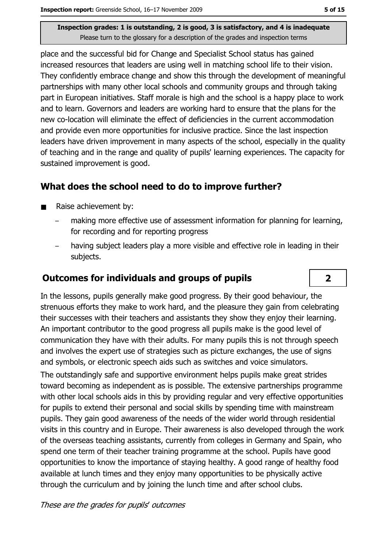place and the successful bid for Change and Specialist School status has gained increased resources that leaders are using well in matching school life to their vision. They confidently embrace change and show this through the development of meaningful partnerships with many other local schools and community groups and through taking part in European initiatives. Staff morale is high and the school is a happy place to work and to learn. Governors and leaders are working hard to ensure that the plans for the new co-location will eliminate the effect of deficiencies in the current accommodation and provide even more opportunities for inclusive practice. Since the last inspection leaders have driven improvement in many aspects of the school, especially in the quality of teaching and in the range and quality of pupils' learning experiences. The capacity for sustained improvement is good.

#### What does the school need to do to improve further?

- Raise achievement by:  $\blacksquare$ 
	- making more effective use of assessment information for planning for learning, for recording and for reporting progress
	- having subject leaders play a more visible and effective role in leading in their subjects.

#### **Outcomes for individuals and groups of pupils**

In the lessons, pupils generally make good progress. By their good behaviour, the strenuous efforts they make to work hard, and the pleasure they gain from celebrating their successes with their teachers and assistants they show they enjoy their learning. An important contributor to the good progress all pupils make is the good level of communication they have with their adults. For many pupils this is not through speech and involves the expert use of strategies such as picture exchanges, the use of signs and symbols, or electronic speech aids such as switches and voice simulators.

The outstandingly safe and supportive environment helps pupils make great strides toward becoming as independent as is possible. The extensive partnerships programme with other local schools aids in this by providing regular and very effective opportunities for pupils to extend their personal and social skills by spending time with mainstream pupils. They gain good awareness of the needs of the wider world through residential visits in this country and in Europe. Their awareness is also developed through the work of the overseas teaching assistants, currently from colleges in Germany and Spain, who spend one term of their teacher training programme at the school. Pupils have good opportunities to know the importance of staying healthy. A good range of healthy food available at lunch times and they enjoy many opportunities to be physically active through the curriculum and by joining the lunch time and after school clubs.

 $\overline{2}$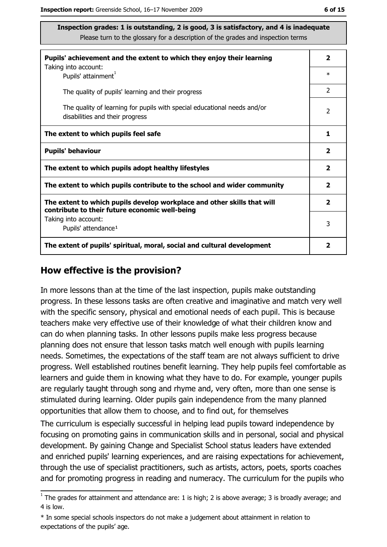| Pupils' achievement and the extent to which they enjoy their learning                                                     | $\overline{2}$          |
|---------------------------------------------------------------------------------------------------------------------------|-------------------------|
| Taking into account:<br>Pupils' attainment <sup>1</sup>                                                                   | $\ast$                  |
| The quality of pupils' learning and their progress                                                                        | $\overline{2}$          |
| The quality of learning for pupils with special educational needs and/or<br>disabilities and their progress               | $\mathcal{P}$           |
| The extent to which pupils feel safe                                                                                      | 1                       |
| <b>Pupils' behaviour</b>                                                                                                  | $\overline{\mathbf{2}}$ |
| The extent to which pupils adopt healthy lifestyles                                                                       | $\overline{2}$          |
| The extent to which pupils contribute to the school and wider community                                                   | $\overline{2}$          |
| The extent to which pupils develop workplace and other skills that will<br>contribute to their future economic well-being | $\mathbf{2}$            |
| Taking into account:<br>Pupils' attendance <sup>1</sup>                                                                   | 3                       |
| The extent of pupils' spiritual, moral, social and cultural development                                                   | 2                       |

#### How effective is the provision?

In more lessons than at the time of the last inspection, pupils make outstanding progress. In these lessons tasks are often creative and imaginative and match very well with the specific sensory, physical and emotional needs of each pupil. This is because teachers make very effective use of their knowledge of what their children know and can do when planning tasks. In other lessons pupils make less progress because planning does not ensure that lesson tasks match well enough with pupils learning needs. Sometimes, the expectations of the staff team are not always sufficient to drive progress. Well established routines benefit learning. They help pupils feel comfortable as learners and quide them in knowing what they have to do. For example, younger pupils are regularly taught through song and rhyme and, very often, more than one sense is stimulated during learning. Older pupils gain independence from the many planned opportunities that allow them to choose, and to find out, for themselves

The curriculum is especially successful in helping lead pupils toward independence by focusing on promoting gains in communication skills and in personal, social and physical development. By gaining Change and Specialist School status leaders have extended and enriched pupils' learning experiences, and are raising expectations for achievement, through the use of specialist practitioners, such as artists, actors, poets, sports coaches and for promoting progress in reading and numeracy. The curriculum for the pupils who

\* In some special schools inspectors do not make a judgement about attainment in relation to expectations of the pupils' age.

 $\frac{1}{1}$  The grades for attainment and attendance are: 1 is high; 2 is above average; 3 is broadly average; and 4 is low.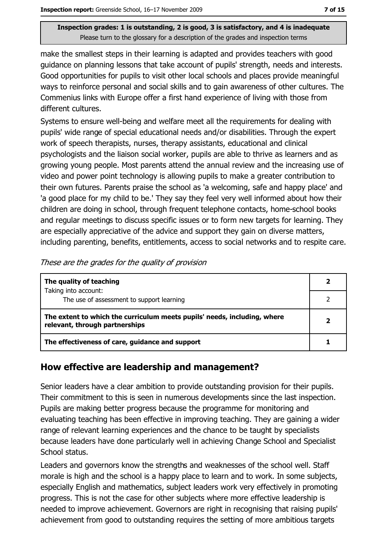make the smallest steps in their learning is adapted and provides teachers with good quidance on planning lessons that take account of pupils' strength, needs and interests. Good opportunities for pupils to visit other local schools and places provide meaningful ways to reinforce personal and social skills and to gain awareness of other cultures. The Commenius links with Europe offer a first hand experience of living with those from different cultures.

Systems to ensure well-being and welfare meet all the requirements for dealing with pupils' wide range of special educational needs and/or disabilities. Through the expert work of speech therapists, nurses, therapy assistants, educational and clinical psychologists and the liaison social worker, pupils are able to thrive as learners and as growing young people. Most parents attend the annual review and the increasing use of video and power point technology is allowing pupils to make a greater contribution to their own futures. Parents praise the school as 'a welcoming, safe and happy place' and 'a good place for my child to be.' They say they feel very well informed about how their children are doing in school, through frequent telephone contacts, home-school books and regular meetings to discuss specific issues or to form new targets for learning. They are especially appreciative of the advice and support they gain on diverse matters, including parenting, benefits, entitlements, access to social networks and to respite care.

The quality of teaching  $\overline{2}$ Taking into account:  $\overline{2}$ The use of assessment to support learning The extent to which the curriculum meets pupils' needs, including, where  $\overline{2}$ relevant, through partnerships The effectiveness of care, guidance and support  $\mathbf{1}$ 

#### These are the grades for the quality of provision

### How effective are leadership and management?

Senior leaders have a clear ambition to provide outstanding provision for their pupils. Their commitment to this is seen in numerous developments since the last inspection. Pupils are making better progress because the programme for monitoring and evaluating teaching has been effective in improving teaching. They are gaining a wider range of relevant learning experiences and the chance to be taught by specialists because leaders have done particularly well in achieving Change School and Specialist School status.

Leaders and governors know the strengths and weaknesses of the school well. Staff morale is high and the school is a happy place to learn and to work. In some subjects, especially English and mathematics, subject leaders work very effectively in promoting progress. This is not the case for other subjects where more effective leadership is needed to improve achievement. Governors are right in recognising that raising pupils' achievement from good to outstanding requires the setting of more ambitious targets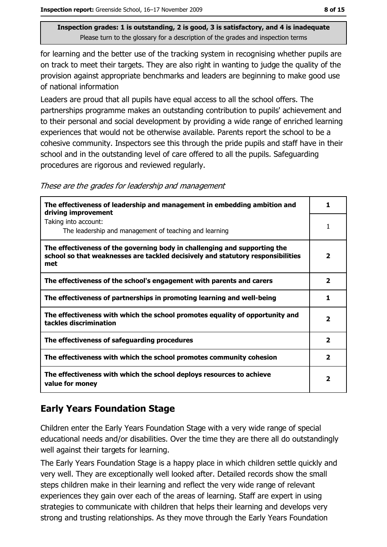for learning and the better use of the tracking system in recognising whether pupils are on track to meet their targets. They are also right in wanting to judge the quality of the provision against appropriate benchmarks and leaders are beginning to make good use of national information

Leaders are proud that all pupils have equal access to all the school offers. The partnerships programme makes an outstanding contribution to pupils' achievement and to their personal and social development by providing a wide range of enriched learning experiences that would not be otherwise available. Parents report the school to be a cohesive community. Inspectors see this through the pride pupils and staff have in their school and in the outstanding level of care offered to all the pupils. Safeguarding procedures are rigorous and reviewed regularly.

These are the grades for leadership and management

| The effectiveness of leadership and management in embedding ambition and<br>driving improvement                                                                     |                         |
|---------------------------------------------------------------------------------------------------------------------------------------------------------------------|-------------------------|
| Taking into account:<br>The leadership and management of teaching and learning                                                                                      |                         |
| The effectiveness of the governing body in challenging and supporting the<br>school so that weaknesses are tackled decisively and statutory responsibilities<br>met | 2                       |
| The effectiveness of the school's engagement with parents and carers                                                                                                | $\mathbf{2}$            |
| The effectiveness of partnerships in promoting learning and well-being                                                                                              |                         |
| The effectiveness with which the school promotes equality of opportunity and<br>tackles discrimination                                                              | 2                       |
| The effectiveness of safeguarding procedures                                                                                                                        | $\overline{2}$          |
| The effectiveness with which the school promotes community cohesion                                                                                                 | $\overline{\mathbf{2}}$ |
| The effectiveness with which the school deploys resources to achieve<br>value for money                                                                             | 2                       |

### **Early Years Foundation Stage**

Children enter the Early Years Foundation Stage with a very wide range of special educational needs and/or disabilities. Over the time they are there all do outstandingly well against their targets for learning.

The Early Years Foundation Stage is a happy place in which children settle quickly and very well. They are exceptionally well looked after. Detailed records show the small steps children make in their learning and reflect the very wide range of relevant experiences they gain over each of the areas of learning. Staff are expert in using strategies to communicate with children that helps their learning and develops very strong and trusting relationships. As they move through the Early Years Foundation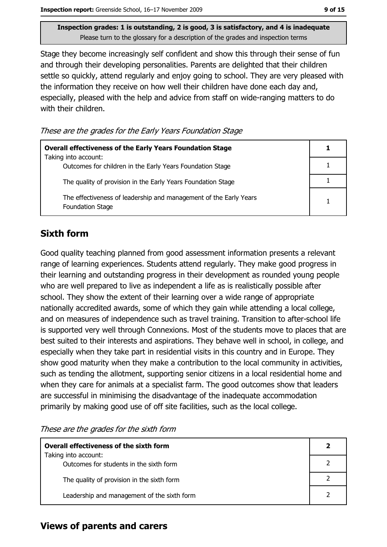Stage they become increasingly self confident and show this through their sense of fun and through their developing personalities. Parents are delighted that their children settle so quickly, attend regularly and enjoy going to school. They are very pleased with the information they receive on how well their children have done each day and, especially, pleased with the help and advice from staff on wide-ranging matters to do with their children.

These are the grades for the Early Years Foundation Stage

| <b>Overall effectiveness of the Early Years Foundation Stage</b>                             |  |
|----------------------------------------------------------------------------------------------|--|
| Taking into account:<br>Outcomes for children in the Early Years Foundation Stage            |  |
| The quality of provision in the Early Years Foundation Stage                                 |  |
| The effectiveness of leadership and management of the Early Years<br><b>Foundation Stage</b> |  |

## **Sixth form**

Good quality teaching planned from good assessment information presents a relevant range of learning experiences. Students attend regularly. They make good progress in their learning and outstanding progress in their development as rounded young people who are well prepared to live as independent a life as is realistically possible after school. They show the extent of their learning over a wide range of appropriate nationally accredited awards, some of which they gain while attending a local college, and on measures of independence such as travel training. Transition to after-school life is supported very well through Connexions. Most of the students move to places that are best suited to their interests and aspirations. They behave well in school, in college, and especially when they take part in residential visits in this country and in Europe. They show good maturity when they make a contribution to the local community in activities, such as tending the allotment, supporting senior citizens in a local residential home and when they care for animals at a specialist farm. The good outcomes show that leaders are successful in minimising the disadvantage of the inadequate accommodation primarily by making good use of off site facilities, such as the local college.

These are the grades for the sixth form

| Overall effectiveness of the sixth form                         |  |  |
|-----------------------------------------------------------------|--|--|
| Taking into account:<br>Outcomes for students in the sixth form |  |  |
| The quality of provision in the sixth form                      |  |  |
| Leadership and management of the sixth form                     |  |  |

#### **Views of parents and carers**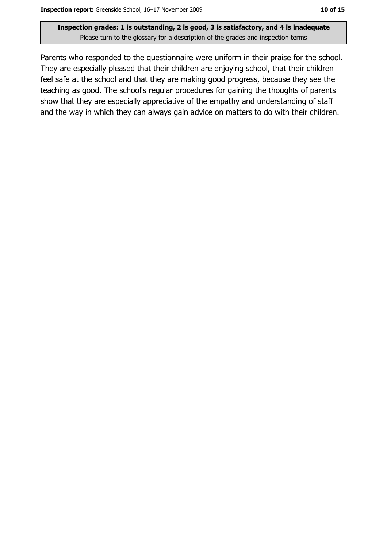Parents who responded to the questionnaire were uniform in their praise for the school. They are especially pleased that their children are enjoying school, that their children feel safe at the school and that they are making good progress, because they see the teaching as good. The school's regular procedures for gaining the thoughts of parents show that they are especially appreciative of the empathy and understanding of staff and the way in which they can always gain advice on matters to do with their children.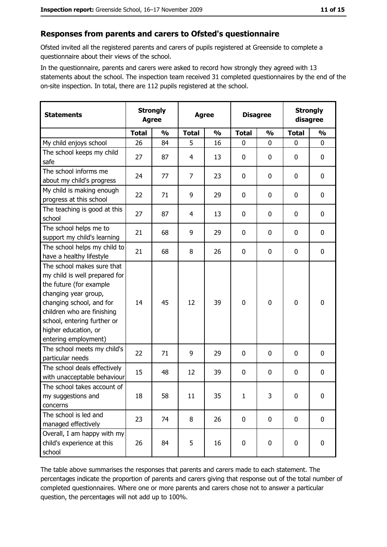#### Responses from parents and carers to Ofsted's questionnaire

Ofsted invited all the registered parents and carers of pupils registered at Greenside to complete a questionnaire about their views of the school.

In the questionnaire, parents and carers were asked to record how strongly they agreed with 13 statements about the school. The inspection team received 31 completed questionnaires by the end of the on-site inspection. In total, there are 112 pupils registered at the school.

| <b>Statements</b>                                                                                                                                                                                                                                       | <b>Strongly</b><br><b>Agree</b> |               | <b>Agree</b> |               |              | <b>Disagree</b> |              | <b>Strongly</b><br>disagree |  |
|---------------------------------------------------------------------------------------------------------------------------------------------------------------------------------------------------------------------------------------------------------|---------------------------------|---------------|--------------|---------------|--------------|-----------------|--------------|-----------------------------|--|
|                                                                                                                                                                                                                                                         | <b>Total</b>                    | $\frac{1}{2}$ | <b>Total</b> | $\frac{0}{0}$ | <b>Total</b> | $\frac{0}{0}$   | <b>Total</b> | $\frac{0}{0}$               |  |
| My child enjoys school                                                                                                                                                                                                                                  | 26                              | 84            | 5            | 16            | $\mathbf 0$  | 0               | $\mathbf{0}$ | $\mathbf 0$                 |  |
| The school keeps my child<br>safe                                                                                                                                                                                                                       | 27                              | 87            | 4            | 13            | $\mathbf 0$  | 0               | 0            | $\mathbf 0$                 |  |
| The school informs me<br>about my child's progress                                                                                                                                                                                                      | 24                              | 77            | 7            | 23            | 0            | 0               | 0            | 0                           |  |
| My child is making enough<br>progress at this school                                                                                                                                                                                                    | 22                              | 71            | 9            | 29            | $\mathbf 0$  | 0               | 0            | $\mathbf 0$                 |  |
| The teaching is good at this<br>school                                                                                                                                                                                                                  | 27                              | 87            | 4            | 13            | 0            | 0               | 0            | $\mathbf 0$                 |  |
| The school helps me to<br>support my child's learning                                                                                                                                                                                                   | 21                              | 68            | 9            | 29            | 0            | 0               | 0            | $\mathbf 0$                 |  |
| The school helps my child to<br>have a healthy lifestyle                                                                                                                                                                                                | 21                              | 68            | 8            | 26            | $\mathbf 0$  | 0               | 0            | $\mathbf 0$                 |  |
| The school makes sure that<br>my child is well prepared for<br>the future (for example<br>changing year group,<br>changing school, and for<br>children who are finishing<br>school, entering further or<br>higher education, or<br>entering employment) | 14                              | 45            | 12           | 39            | $\mathbf 0$  | 0               | 0            | $\mathbf 0$                 |  |
| The school meets my child's<br>particular needs                                                                                                                                                                                                         | 22                              | 71            | 9            | 29            | 0            | 0               | 0            | $\bf{0}$                    |  |
| The school deals effectively<br>with unacceptable behaviour                                                                                                                                                                                             | 15                              | 48            | 12           | 39            | $\bf{0}$     | 0               | 0            | 0                           |  |
| The school takes account of<br>my suggestions and<br>concerns                                                                                                                                                                                           | 18                              | 58            | 11           | 35            | 1            | 3               | $\mathbf 0$  | $\mathbf 0$                 |  |
| The school is led and<br>managed effectively                                                                                                                                                                                                            | 23                              | 74            | 8            | 26            | $\mathbf 0$  | 0               | $\mathbf 0$  | $\mathbf 0$                 |  |
| Overall, I am happy with my<br>child's experience at this<br>school                                                                                                                                                                                     | 26                              | 84            | 5            | 16            | $\bf{0}$     | 0               | 0            | 0                           |  |

The table above summarises the responses that parents and carers made to each statement. The percentages indicate the proportion of parents and carers giving that response out of the total number of completed questionnaires. Where one or more parents and carers chose not to answer a particular question, the percentages will not add up to 100%.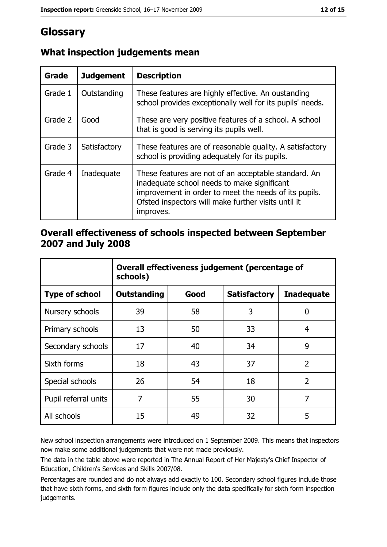# Glossary

| Grade   | <b>Judgement</b> | <b>Description</b>                                                                                                                                                                                                               |
|---------|------------------|----------------------------------------------------------------------------------------------------------------------------------------------------------------------------------------------------------------------------------|
| Grade 1 | Outstanding      | These features are highly effective. An oustanding<br>school provides exceptionally well for its pupils' needs.                                                                                                                  |
| Grade 2 | Good             | These are very positive features of a school. A school<br>that is good is serving its pupils well.                                                                                                                               |
| Grade 3 | Satisfactory     | These features are of reasonable quality. A satisfactory<br>school is providing adequately for its pupils.                                                                                                                       |
| Grade 4 | Inadequate       | These features are not of an acceptable standard. An<br>inadequate school needs to make significant<br>improvement in order to meet the needs of its pupils.<br>Ofsted inspectors will make further visits until it<br>improves. |

## What inspection judgements mean

#### Overall effectiveness of schools inspected between September 2007 and July 2008

|                       | Overall effectiveness judgement (percentage of<br>schools) |      |                     |                   |
|-----------------------|------------------------------------------------------------|------|---------------------|-------------------|
| <b>Type of school</b> | <b>Outstanding</b>                                         | Good | <b>Satisfactory</b> | <b>Inadequate</b> |
| Nursery schools       | 39                                                         | 58   | 3                   | 0                 |
| Primary schools       | 13                                                         | 50   | 33                  | 4                 |
| Secondary schools     | 17                                                         | 40   | 34                  | 9                 |
| Sixth forms           | 18                                                         | 43   | 37                  | $\overline{2}$    |
| Special schools       | 26                                                         | 54   | 18                  | $\overline{2}$    |
| Pupil referral units  | 7                                                          | 55   | 30                  | 7                 |
| All schools           | 15                                                         | 49   | 32                  | 5                 |

New school inspection arrangements were introduced on 1 September 2009. This means that inspectors now make some additional judgements that were not made previously.

The data in the table above were reported in The Annual Report of Her Majesty's Chief Inspector of Education, Children's Services and Skills 2007/08.

Percentages are rounded and do not always add exactly to 100. Secondary school figures include those that have sixth forms, and sixth form figures include only the data specifically for sixth form inspection judgements.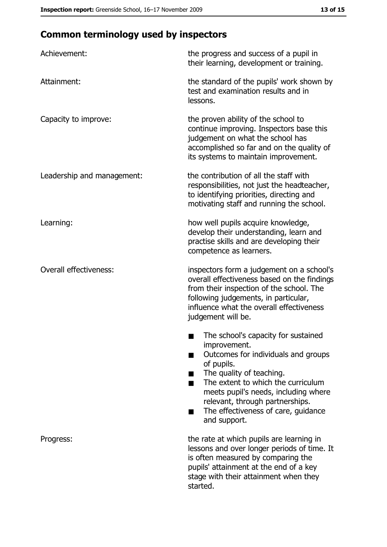# **Common terminology used by inspectors**

| Achievement:                  | the progress and success of a pupil in<br>their learning, development or training.                                                                                                                                                                                                                           |
|-------------------------------|--------------------------------------------------------------------------------------------------------------------------------------------------------------------------------------------------------------------------------------------------------------------------------------------------------------|
| Attainment:                   | the standard of the pupils' work shown by<br>test and examination results and in<br>lessons.                                                                                                                                                                                                                 |
| Capacity to improve:          | the proven ability of the school to<br>continue improving. Inspectors base this<br>judgement on what the school has<br>accomplished so far and on the quality of<br>its systems to maintain improvement.                                                                                                     |
| Leadership and management:    | the contribution of all the staff with<br>responsibilities, not just the headteacher,<br>to identifying priorities, directing and<br>motivating staff and running the school.                                                                                                                                |
| Learning:                     | how well pupils acquire knowledge,<br>develop their understanding, learn and<br>practise skills and are developing their<br>competence as learners.                                                                                                                                                          |
| <b>Overall effectiveness:</b> | inspectors form a judgement on a school's<br>overall effectiveness based on the findings<br>from their inspection of the school. The<br>following judgements, in particular,<br>influence what the overall effectiveness<br>judgement will be.                                                               |
|                               | The school's capacity for sustained<br>improvement.<br>Outcomes for individuals and groups<br>of pupils.<br>The quality of teaching.<br>The extent to which the curriculum<br>meets pupil's needs, including where<br>relevant, through partnerships.<br>The effectiveness of care, guidance<br>and support. |
| Progress:                     | the rate at which pupils are learning in<br>lessons and over longer periods of time. It<br>is often measured by comparing the<br>pupils' attainment at the end of a key<br>stage with their attainment when they<br>started.                                                                                 |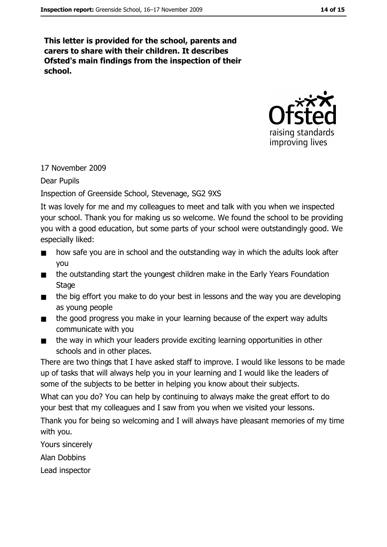This letter is provided for the school, parents and carers to share with their children. It describes Ofsted's main findings from the inspection of their school.



### 17 November 2009

**Dear Pupils** 

### Inspection of Greenside School, Stevenage, SG2 9XS

It was lovely for me and my colleagues to meet and talk with you when we inspected your school. Thank you for making us so welcome. We found the school to be providing you with a good education, but some parts of your school were outstandingly good. We especially liked:

- how safe you are in school and the outstanding way in which the adults look after  $\blacksquare$ **you**
- the outstanding start the youngest children make in the Early Years Foundation  $\blacksquare$ **Stage**
- the big effort you make to do your best in lessons and the way you are developing  $\blacksquare$ as young people
- the good progress you make in your learning because of the expert way adults  $\blacksquare$ communicate with you
- the way in which your leaders provide exciting learning opportunities in other  $\blacksquare$ schools and in other places.

There are two things that I have asked staff to improve. I would like lessons to be made up of tasks that will always help you in your learning and I would like the leaders of some of the subjects to be better in helping you know about their subjects.

What can you do? You can help by continuing to always make the great effort to do your best that my colleagues and I saw from you when we visited your lessons.

Thank you for being so welcoming and I will always have pleasant memories of my time with you.

Yours sincerely

Alan Dobbins

Lead inspector